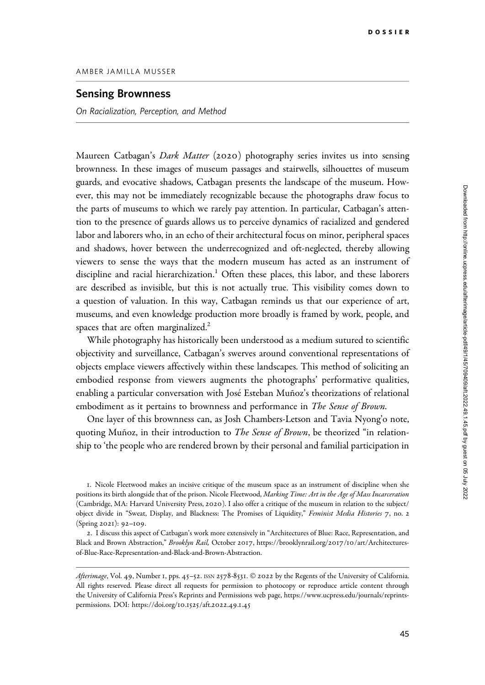## Downloaded from http://online.ucpress.edu/afterimage/article-pdf/49/1/45/709409/aft.2022.49.1.45.pdf by guest on 05 July 2022 Downloaded from http://online.ucpress.edu/afterimage/article-pdf/49/1/45/709409/aft.2022.49.1.45.pdf by guest on 05 July 2022

## AMBER JAMILLA MUSSER

## Sensing Brownness

On Racialization, Perception, and Method

Maureen Catbagan's *Dark Matter* (2020) photography series invites us into sensing brownness. In these images of museum passages and stairwells, silhouettes of museum guards, and evocative shadows, Catbagan presents the landscape of the museum. However, this may not be immediately recognizable because the photographs draw focus to the parts of museums to which we rarely pay attention. In particular, Catbagan's attention to the presence of guards allows us to perceive dynamics of racialized and gendered labor and laborers who, in an echo of their architectural focus on minor, peripheral spaces and shadows, hover between the underrecognized and oft-neglected, thereby allowing viewers to sense the ways that the modern museum has acted as an instrument of discipline and racial hierarchization.<sup>1</sup> Often these places, this labor, and these laborers are described as invisible, but this is not actually true. This visibility comes down to a question of valuation. In this way, Catbagan reminds us that our experience of art, museums, and even knowledge production more broadly is framed by work, people, and spaces that are often marginalized.<sup>2</sup>

While photography has historically been understood as a medium sutured to scientific objectivity and surveillance, Catbagan's swerves around conventional representations of objects emplace viewers affectively within these landscapes. This method of soliciting an embodied response from viewers augments the photographs' performative qualities, enabling a particular conversation with José Esteban Muñoz's theorizations of relational embodiment as it pertains to brownness and performance in The Sense of Brown.

One layer of this brownness can, as Josh Chambers-Letson and Tavia Nyong'o note, quoting Muñoz, in their introduction to *The Sense of Brown*, be theorized "in relationship to 'the people who are rendered brown by their personal and familial participation in

1. Nicole Fleetwood makes an incisive critique of the museum space as an instrument of discipline when she positions its birth alongside that of the prison. Nicole Fleetwood, Marking Time: Art in the Age of Mass Incarceration (Cambridge, MA: Harvard University Press, 2020). I also offer a critique of the museum in relation to the subject/ object divide in "Sweat, Display, and Blackness: The Promises of Liquidity," Feminist Media Histories 7, no. 2 (Spring 2021): 92–109.

2. I discuss this aspect of Catbagan's work more extensively in "Architectures of Blue: Race, Representation, and Black and Brown Abstraction," Brooklyn Rail, October 2017, [https://brooklynrail.org/](https://brooklynrail.org/2017/10/art/Architectures-of-Blue-Race-Representation-and-Black-and-Brown-Abstraction)2017/10/art/Architectures[of-Blue-Race-Representation-and-Black-and-Brown-Abstraction.](https://brooklynrail.org/2017/10/art/Architectures-of-Blue-Race-Representation-and-Black-and-Brown-Abstraction)

Afterimage, Vol. 49, Number 1, pps. 45-52. ISSN 2578-8531. © 2022 by the Regents of the University of California. All rights reserved. Please direct all requests for permission to photocopy or reproduce article content through the University of California Press's Reprints and Permissions web page, [https://www.ucpress.edu/journals/reprints](https://www.ucpress.edu/journals/reprints-permissions)[permissions.](https://www.ucpress.edu/journals/reprints-permissions) [DOI: https://doi.org/](https://doi.org/10.1525/aft.2022.49.1.45)10.1525/aft.2022.49.1.45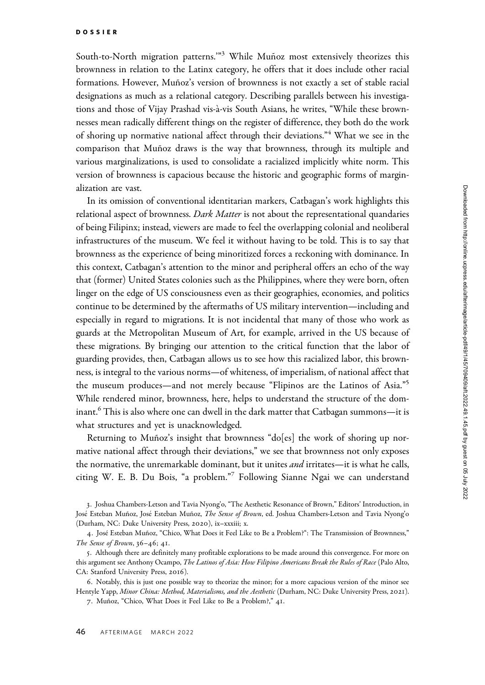South-to-North migration patterns."<sup>3</sup> While Muñoz most extensively theorizes this brownness in relation to the Latinx category, he offers that it does include other racial formations. However, Muñoz's version of brownness is not exactly a set of stable racial designations as much as a relational category. Describing parallels between his investigations and those of Vijay Prashad vis-à-vis South Asians, he writes, "While these brownnesses mean radically different things on the register of difference, they both do the work of shoring up normative national affect through their deviations."<sup>4</sup> What we see in the comparison that Muñoz draws is the way that brownness, through its multiple and various marginalizations, is used to consolidate a racialized implicitly white norm. This version of brownness is capacious because the historic and geographic forms of marginalization are vast.

In its omission of conventional identitarian markers, Catbagan's work highlights this relational aspect of brownness. Dark Matter is not about the representational quandaries of being Filipinx; instead, viewers are made to feel the overlapping colonial and neoliberal infrastructures of the museum. We feel it without having to be told. This is to say that brownness as the experience of being minoritized forces a reckoning with dominance. In this context, Catbagan's attention to the minor and peripheral offers an echo of the way that (former) United States colonies such as the Philippines, where they were born, often linger on the edge of US consciousness even as their geographies, economies, and politics continue to be determined by the aftermaths of US military intervention—including and especially in regard to migrations. It is not incidental that many of those who work as guards at the Metropolitan Museum of Art, for example, arrived in the US because of these migrations. By bringing our attention to the critical function that the labor of guarding provides, then, Catbagan allows us to see how this racialized labor, this brownness, is integral to the various norms—of whiteness, of imperialism, of national affect that the museum produces—and not merely because "Flipinos are the Latinos of Asia."5 While rendered minor, brownness, here, helps to understand the structure of the dominant.<sup>6</sup> This is also where one can dwell in the dark matter that Catbagan summons—it is what structures and yet is unacknowledged.

Returning to Muñoz's insight that brownness "do[es] the work of shoring up normative national affect through their deviations," we see that brownness not only exposes the normative, the unremarkable dominant, but it unites *and* irritates—it is what he calls, citing W. E. B. Du Bois, "a problem."<sup>7</sup> Following Sianne Ngai we can understand

<sup>3</sup>. Joshua Chambers-Letson and Tavia Nyong'o, "The Aesthetic Resonance of Brown," Editors' Introduction, in José Esteban Muñoz, José Esteban Muñoz, The Sense of Brown, ed. Joshua Chambers-Letson and Tavia Nyong'o (Durham, NC: Duke University Press, 2020), ix–xxxiii; x.

<sup>4.</sup> José Esteban Muñoz, "Chico, What Does it Feel Like to Be a Problem?": The Transmission of Brownness," The Sense of Brown, 36–46; 41.

<sup>5</sup>. Although there are definitely many profitable explorations to be made around this convergence. For more on this argument see Anthony Ocampo, The Latinos of Asia: How Filipino Americans Break the Rules of Race (Palo Alto, CA: Stanford University Press, 2016).

<sup>6</sup>. Notably, this is just one possible way to theorize the minor; for a more capacious version of the minor see Hentyle Yapp, Minor China: Method, Materialisms, and the Aesthetic (Durham, NC: Duke University Press, 2021).

<sup>7.</sup> Muñoz, "Chico, What Does it Feel Like to Be a Problem?," 41.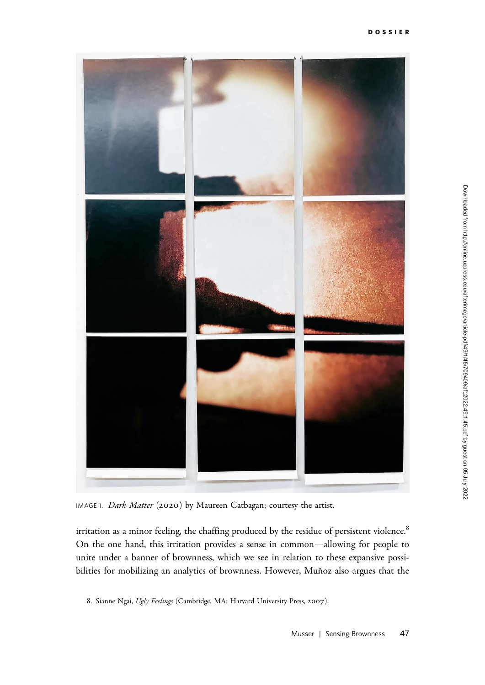

IMAGE 1. Dark Matter (2020) by Maureen Catbagan; courtesy the artist.

irritation as a minor feeling, the chaffing produced by the residue of persistent violence.<sup>8</sup> On the one hand, this irritation provides a sense in common—allowing for people to unite under a banner of brownness, which we see in relation to these expansive possibilities for mobilizing an analytics of brownness. However, Muñoz also argues that the

<sup>8.</sup> Sianne Ngai, Ugly Feelings (Cambridge, MA: Harvard University Press, 2007).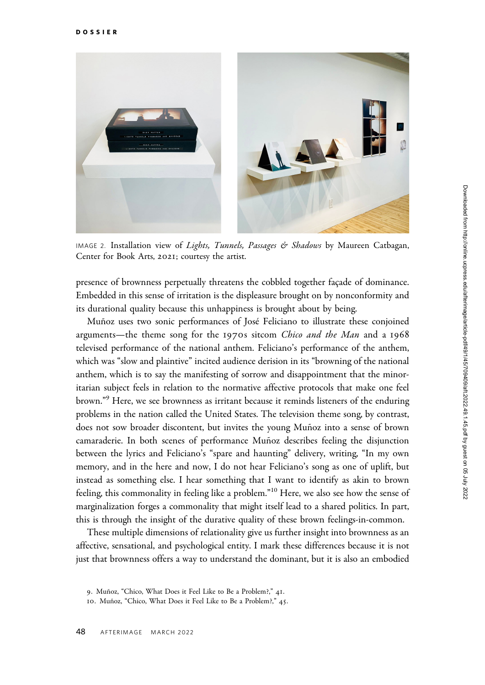

IMAGE 2. Installation view of Lights, Tunnels, Passages & Shadows by Maureen Catbagan, Center for Book Arts, 2021; courtesy the artist.

presence of brownness perpetually threatens the cobbled together façade of dominance. Embedded in this sense of irritation is the displeasure brought on by nonconformity and its durational quality because this unhappiness is brought about by being.

Muñoz uses two sonic performances of José Feliciano to illustrate these conjoined arguments—the theme song for the 1970s sitcom *Chico and the Man* and a 1968 televised performance of the national anthem. Feliciano's performance of the anthem, which was "slow and plaintive" incited audience derision in its "browning of the national anthem, which is to say the manifesting of sorrow and disappointment that the minoritarian subject feels in relation to the normative affective protocols that make one feel brown."<sup>9</sup> Here, we see brownness as irritant because it reminds listeners of the enduring problems in the nation called the United States. The television theme song, by contrast, does not sow broader discontent, but invites the young Muñoz into a sense of brown camaraderie. In both scenes of performance Muñoz describes feeling the disjunction between the lyrics and Feliciano's "spare and haunting" delivery, writing, "In my own memory, and in the here and now, I do not hear Feliciano's song as one of uplift, but instead as something else. I hear something that I want to identify as akin to brown feeling, this commonality in feeling like a problem."<sup>10</sup> Here, we also see how the sense of marginalization forges a commonality that might itself lead to a shared politics. In part, this is through the insight of the durative quality of these brown feelings-in-common.

These multiple dimensions of relationality give us further insight into brownness as an affective, sensational, and psychological entity. I mark these differences because it is not just that brownness offers a way to understand the dominant, but it is also an embodied

<sup>9.</sup> Muñoz, "Chico, What Does it Feel Like to Be a Problem?," 41.

<sup>10.</sup> Muñoz, "Chico, What Does it Feel Like to Be a Problem?," 45.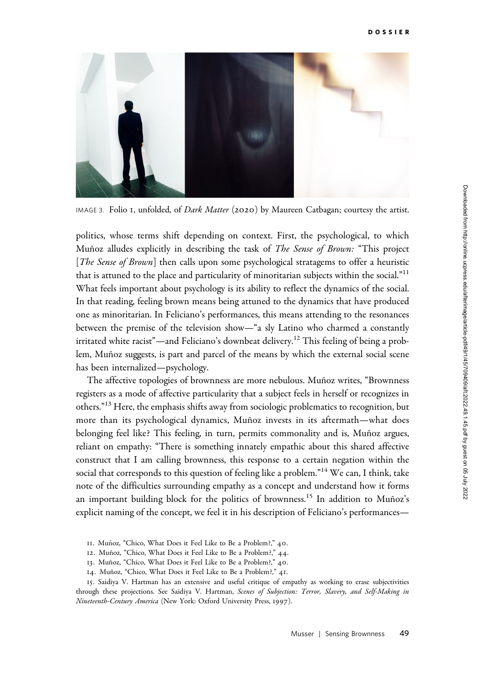

IMAGE 3. Folio I, unfolded, of *Dark Matter* (2020) by Maureen Catbagan; courtesy the artist.

politics, whose terms shift depending on context. First, the psychological, to which Munoz alludes explicitly in describing the task of *The Sense of Brown:* "This project [*The Sense of Brown*] then calls upon some psychological stratagems to offer a heuristic that is attuned to the place and particularity of minoritarian subjects within the social."<sup>11</sup> What feels important about psychology is its ability to reflect the dynamics of the social. In that reading, feeling brown means being attuned to the dynamics that have produced one as minoritarian. In Feliciano's performances, this means attending to the resonances between the premise of the television show—"a sly Latino who charmed a constantly irritated white racist"—and Feliciano's downbeat delivery.<sup>12</sup> This feeling of being a problem, Muñoz suggests, is part and parcel of the means by which the external social scene has been internalized—psychology.

The affective topologies of brownness are more nebulous. Muñoz writes, "Brownness" registers as a mode of affective particularity that a subject feels in herself or recognizes in others."<sup>13</sup> Here, the emphasis shifts away from sociologic problematics to recognition, but more than its psychological dynamics, Muñoz invests in its aftermath—what does belonging feel like? This feeling, in turn, permits commonality and is, Muñoz argues, reliant on empathy: "There is something innately empathic about this shared affective construct that I am calling brownness, this response to a certain negation within the social that corresponds to this question of feeling like a problem."<sup>14</sup> We can, I think, take note of the difficulties surrounding empathy as a concept and understand how it forms an important building block for the politics of brownness.<sup>15</sup> In addition to Muñoz's explicit naming of the concept, we feel it in his description of Feliciano's performances—

- 12. Muñoz, "Chico, What Does it Feel Like to Be a Problem?," 44.
- 13. Muñoz, "Chico, What Does it Feel Like to Be a Problem?," 40.
- 14. Muñoz, "Chico, What Does it Feel Like to Be a Problem?," 41.

15. Saidiya V. Hartman has an extensive and useful critique of empathy as working to erase subjectivities through these projections. See Saidiya V. Hartman, Scenes of Subjection: Terror, Slavery, and Self-Making in Nineteenth-Century America (New York: Oxford University Press, 1997).

<sup>11.</sup> Muñoz, "Chico, What Does it Feel Like to Be a Problem?," 40.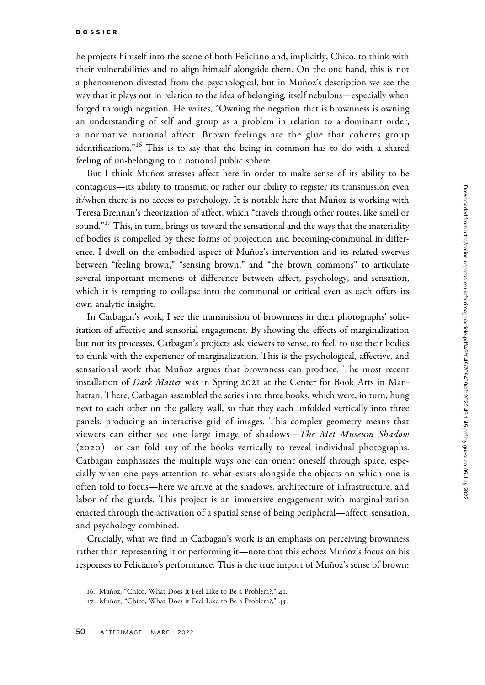he projects himself into the scene of both Feliciano and, implicitly, Chico, to think with their vulnerabilities and to align himself alongside them. On the one hand, this is not a phenomenon divested from the psychological, but in Muñoz's description we see the way that it plays out in relation to the idea of belonging, itself nebulous—especially when forged through negation. He writes, "Owning the negation that is brownness is owning an understanding of self and group as a problem in relation to a dominant order, a normative national affect. Brown feelings are the glue that coheres group identifications."<sup>16</sup> This is to say that the being in common has to do with a shared feeling of un-belonging to a national public sphere.

But I think Muñoz stresses affect here in order to make sense of its ability to be contagious—its ability to transmit, or rather our ability to register its transmission even  $if/$ when there is no access to psychology. It is notable here that Muñoz is working with Teresa Brennan's theorization of affect, which "travels through other routes, like smell or sound."<sup>17</sup> This, in turn, brings us toward the sensational and the ways that the materiality of bodies is compelled by these forms of projection and becoming-communal in difference. I dwell on the embodied aspect of Muñoz's intervention and its related swerves between "feeling brown," "sensing brown," and "the brown commons" to articulate several important moments of difference between affect, psychology, and sensation, which it is tempting to collapse into the communal or critical even as each offers its own analytic insight.

In Catbagan's work, I see the transmission of brownness in their photographs' solicitation of affective and sensorial engagement. By showing the effects of marginalization but not its processes, Catbagan's projects ask viewers to sense, to feel, to use their bodies to think with the experience of marginalization. This is the psychological, affective, and sensational work that Muñoz argues that brownness can produce. The most recent installation of Dark Matter was in Spring 2021 at the Center for Book Arts in Manhattan. There, Catbagan assembled the series into three books, which were, in turn, hung next to each other on the gallery wall, so that they each unfolded vertically into three panels, producing an interactive grid of images. This complex geometry means that viewers can either see one large image of shadows—The Met Museum Shadow (2020)—or can fold any of the books vertically to reveal individual photographs. Catbagan emphasizes the multiple ways one can orient oneself through space, especially when one pays attention to what exists alongside the objects on which one is often told to focus—here we arrive at the shadows, architecture of infrastructure, and labor of the guards. This project is an immersive engagement with marginalization enacted through the activation of a spatial sense of being peripheral—affect, sensation, and psychology combined.

Crucially, what we find in Catbagan's work is an emphasis on perceiving brownness rather than representing it or performing it—note that this echoes Muñoz's focus on his responses to Feliciano's performance. This is the true import of Muñoz's sense of brown:

<sup>16.</sup> Muñoz, "Chico, What Does it Feel Like to Be a Problem?," 41.

<sup>17.</sup> Muñoz, "Chico, What Does it Feel Like to Be a Problem?," 45.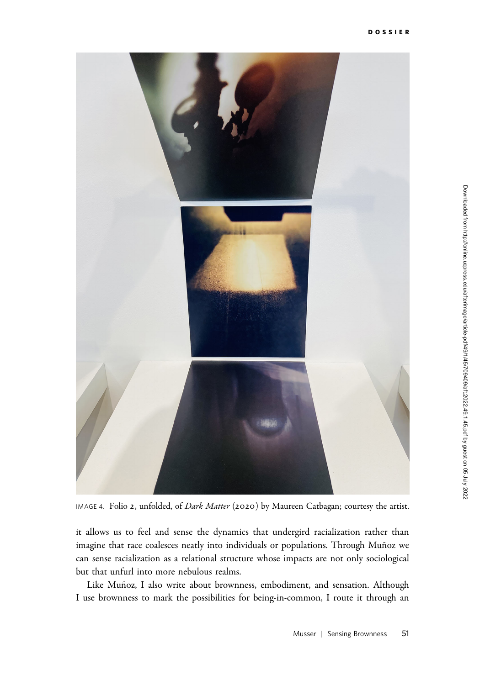

IMAGE 4. Folio 2, unfolded, of Dark Matter (2020) by Maureen Catbagan; courtesy the artist.

it allows us to feel and sense the dynamics that undergird racialization rather than imagine that race coalesces neatly into individuals or populations. Through Muñoz we can sense racialization as a relational structure whose impacts are not only sociological but that unfurl into more nebulous realms.

Like Muñoz, I also write about brownness, embodiment, and sensation. Although I use brownness to mark the possibilities for being-in-common, I route it through an